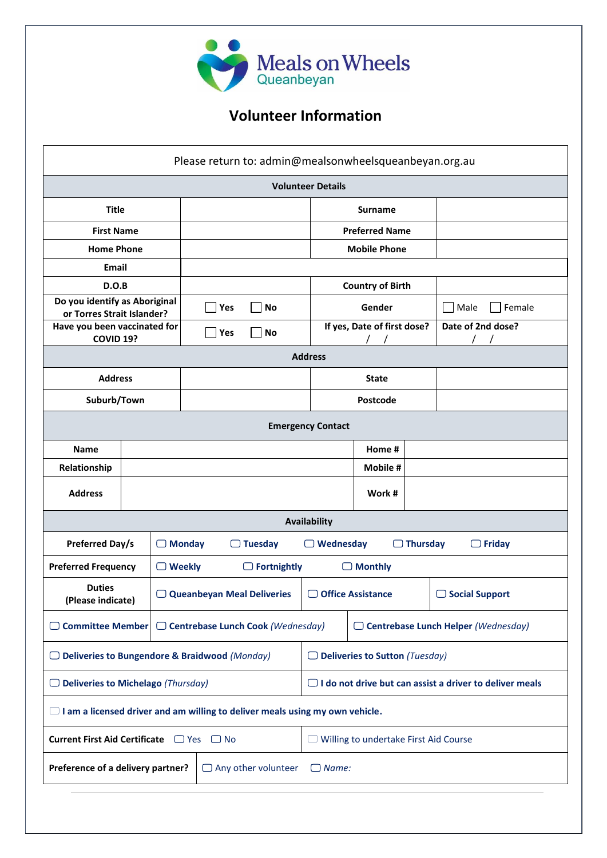

## **Volunteer Information**

|                                                                                     |                   |                                   |                                 | Please return to: admin@mealsonwheelsqueanbeyan.org.au         |                                       |                                               |  |                       |  |
|-------------------------------------------------------------------------------------|-------------------|-----------------------------------|---------------------------------|----------------------------------------------------------------|---------------------------------------|-----------------------------------------------|--|-----------------------|--|
|                                                                                     |                   |                                   |                                 |                                                                | <b>Volunteer Details</b>              |                                               |  |                       |  |
| <b>Title</b>                                                                        |                   |                                   |                                 |                                                                |                                       | <b>Surname</b>                                |  |                       |  |
| <b>First Name</b>                                                                   |                   |                                   |                                 |                                                                |                                       | <b>Preferred Name</b>                         |  |                       |  |
|                                                                                     | <b>Home Phone</b> |                                   |                                 |                                                                |                                       | <b>Mobile Phone</b>                           |  |                       |  |
| <b>Email</b>                                                                        |                   |                                   |                                 |                                                                |                                       |                                               |  |                       |  |
| D.O.B                                                                               |                   |                                   |                                 |                                                                |                                       | <b>Country of Birth</b>                       |  |                       |  |
| Do you identify as Aboriginal<br>or Torres Strait Islander?                         |                   |                                   | Yes<br><b>No</b>                |                                                                |                                       | Gender                                        |  | Female<br>Male        |  |
| Have you been vaccinated for<br>COVID 19?                                           |                   |                                   | Yes                             | <b>No</b>                                                      |                                       | If yes, Date of first dose?                   |  | Date of 2nd dose?     |  |
| <b>Address</b>                                                                      |                   |                                   |                                 |                                                                |                                       |                                               |  |                       |  |
| <b>Address</b>                                                                      |                   |                                   |                                 |                                                                |                                       | <b>State</b>                                  |  |                       |  |
| Suburb/Town                                                                         |                   |                                   |                                 |                                                                |                                       | Postcode                                      |  |                       |  |
| <b>Emergency Contact</b>                                                            |                   |                                   |                                 |                                                                |                                       |                                               |  |                       |  |
| <b>Name</b>                                                                         |                   |                                   |                                 |                                                                |                                       | Home #                                        |  |                       |  |
| Relationship                                                                        |                   |                                   |                                 |                                                                |                                       | Mobile #                                      |  |                       |  |
| <b>Address</b>                                                                      |                   |                                   |                                 |                                                                |                                       | Work #                                        |  |                       |  |
|                                                                                     |                   |                                   |                                 |                                                                | Availability                          |                                               |  |                       |  |
| <b>Preferred Day/s</b>                                                              |                   |                                   | $\Box$ Monday<br><b>Tuesday</b> |                                                                |                                       | Wednesday<br>$\Box$ Thursday<br>$\Box$ Friday |  |                       |  |
| <b>Preferred Frequency</b>                                                          |                   | $\Box$ Weekly                     |                                 | $\Box$ Fortnightly                                             |                                       | $\Box$ Monthly                                |  |                       |  |
| <b>Duties</b><br>(Please indicate)                                                  |                   | $\Box$ Queanbeyan Meal Deliveries |                                 |                                                                |                                       | □ Office Assistance                           |  | $\Box$ Social Support |  |
| Committee Member   □ Centrebase Lunch Cook (Wednesday)                              |                   |                                   |                                 |                                                                |                                       | $\Box$ Centrebase Lunch Helper (Wednesday)    |  |                       |  |
| □ Deliveries to Bungendore & Braidwood (Monday)                                     |                   |                                   |                                 |                                                                | $\Box$ Deliveries to Sutton (Tuesday) |                                               |  |                       |  |
| $\Box$ Deliveries to Michelago (Thursday)                                           |                   |                                   |                                 | $\Box$ I do not drive but can assist a driver to deliver meals |                                       |                                               |  |                       |  |
| $\Box$ I am a licensed driver and am willing to deliver meals using my own vehicle. |                   |                                   |                                 |                                                                |                                       |                                               |  |                       |  |
| Current First Aid Certificate □ Yes □ No                                            |                   |                                   |                                 | $\Box$ Willing to undertake First Aid Course                   |                                       |                                               |  |                       |  |
| Preference of a delivery partner?<br>$\Box$ Any other volunteer                     |                   |                                   |                                 | $\Box$ Name:                                                   |                                       |                                               |  |                       |  |
|                                                                                     |                   |                                   |                                 |                                                                |                                       |                                               |  |                       |  |